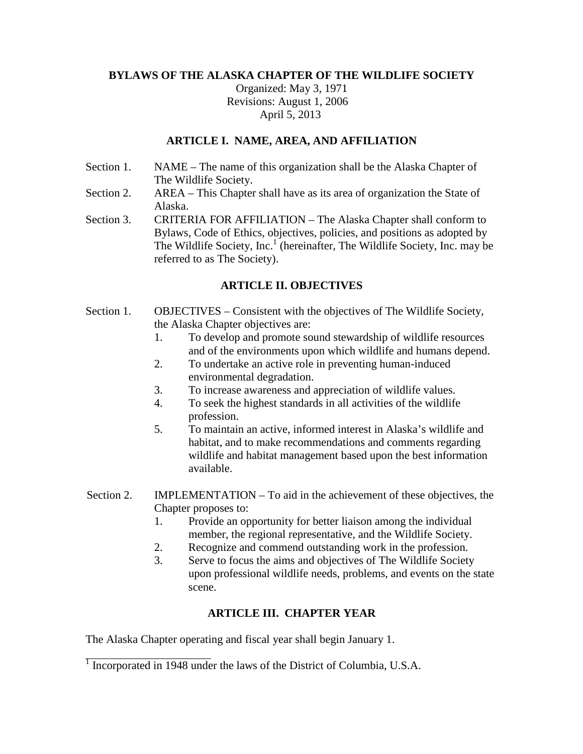# **BYLAWS OF THE ALASKA CHAPTER OF THE WILDLIFE SOCIETY**

Organized: May 3, 1971 Revisions: August 1, 2006 April 5, 2013

## **ARTICLE I. NAME, AREA, AND AFFILIATION**

- Section 1. NAME The name of this organization shall be the Alaska Chapter of The Wildlife Society.
- Section 2. AREA This Chapter shall have as its area of organization the State of Alaska.
- Section 3. CRITERIA FOR AFFILIATION The Alaska Chapter shall conform to Bylaws, Code of Ethics, objectives, policies, and positions as adopted by The Wildlife Society, Inc.<sup>1</sup> (hereinafter, The Wildlife Society, Inc. may be referred to as The Society).

# **ARTICLE II. OBJECTIVES**

- Section 1. OBJECTIVES Consistent with the objectives of The Wildlife Society, the Alaska Chapter objectives are:
	- 1. To develop and promote sound stewardship of wildlife resources and of the environments upon which wildlife and humans depend.
	- 2. To undertake an active role in preventing human-induced environmental degradation.
	- 3. To increase awareness and appreciation of wildlife values.
	- 4. To seek the highest standards in all activities of the wildlife profession.
	- 5. To maintain an active, informed interest in Alaska's wildlife and habitat, and to make recommendations and comments regarding wildlife and habitat management based upon the best information available.
- Section 2. IMPLEMENTATION To aid in the achievement of these objectives, the Chapter proposes to:
	- 1. Provide an opportunity for better liaison among the individual member, the regional representative, and the Wildlife Society.
	- 2. Recognize and commend outstanding work in the profession.
	- 3. Serve to focus the aims and objectives of The Wildlife Society upon professional wildlife needs, problems, and events on the state scene.

# **ARTICLE III. CHAPTER YEAR**

The Alaska Chapter operating and fiscal year shall begin January 1.

<sup>&</sup>lt;sup>1</sup> Incorporated in 1948 under the laws of the District of Columbia, U.S.A.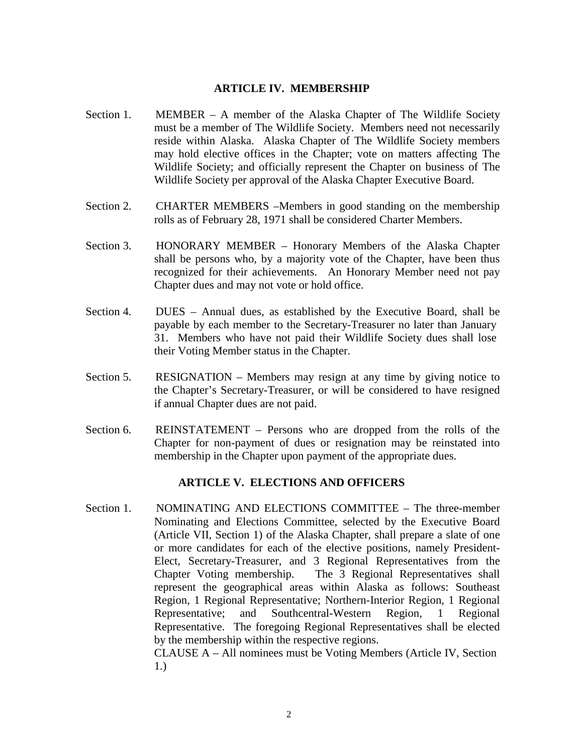### **ARTICLE IV. MEMBERSHIP**

- Section 1. MEMBER A member of the Alaska Chapter of The Wildlife Society must be a member of The Wildlife Society. Members need not necessarily reside within Alaska. Alaska Chapter of The Wildlife Society members may hold elective offices in the Chapter; vote on matters affecting The Wildlife Society; and officially represent the Chapter on business of The Wildlife Society per approval of the Alaska Chapter Executive Board.
- Section 2. CHARTER MEMBERS –Members in good standing on the membership rolls as of February 28, 1971 shall be considered Charter Members.
- Section 3. HONORARY MEMBER Honorary Members of the Alaska Chapter shall be persons who, by a majority vote of the Chapter, have been thus recognized for their achievements. An Honorary Member need not pay Chapter dues and may not vote or hold office.
- Section 4. DUES Annual dues, as established by the Executive Board, shall be payable by each member to the Secretary-Treasurer no later than January 31. Members who have not paid their Wildlife Society dues shall lose their Voting Member status in the Chapter.
- Section 5. RESIGNATION Members may resign at any time by giving notice to the Chapter's Secretary-Treasurer, or will be considered to have resigned if annual Chapter dues are not paid.
- Section 6. REINSTATEMENT Persons who are dropped from the rolls of the Chapter for non-payment of dues or resignation may be reinstated into membership in the Chapter upon payment of the appropriate dues.

## **ARTICLE V. ELECTIONS AND OFFICERS**

Section 1. NOMINATING AND ELECTIONS COMMITTEE – The three-member Nominating and Elections Committee, selected by the Executive Board (Article VII, Section 1) of the Alaska Chapter, shall prepare a slate of one or more candidates for each of the elective positions, namely President-Elect, Secretary-Treasurer, and 3 Regional Representatives from the Chapter Voting membership. The 3 Regional Representatives shall represent the geographical areas within Alaska as follows: Southeast Region, 1 Regional Representative; Northern-Interior Region, 1 Regional Representative; and Southcentral-Western Region, 1 Regional Representative. The foregoing Regional Representatives shall be elected by the membership within the respective regions. CLAUSE A – All nominees must be Voting Members (Article IV, Section 1.)

2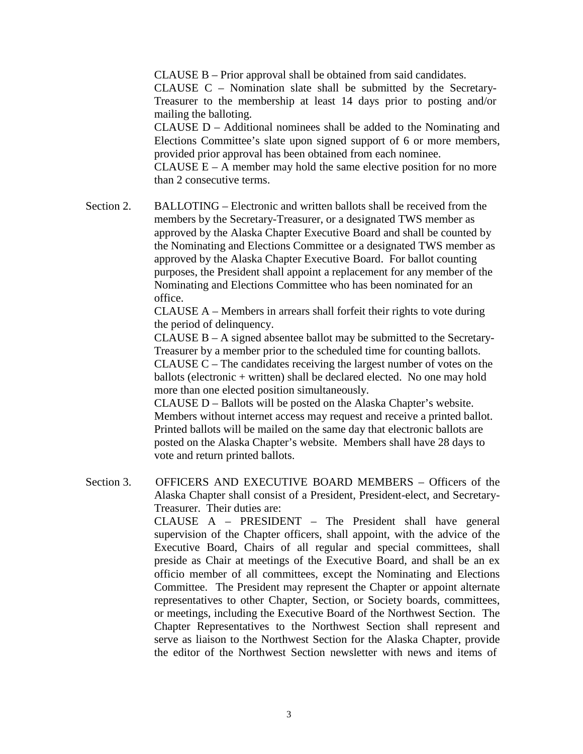CLAUSE B – Prior approval shall be obtained from said candidates.

CLAUSE C – Nomination slate shall be submitted by the Secretary-Treasurer to the membership at least 14 days prior to posting and/or mailing the balloting.

CLAUSE D – Additional nominees shall be added to the Nominating and Elections Committee's slate upon signed support of 6 or more members, provided prior approval has been obtained from each nominee.

CLAUSE  $E - A$  member may hold the same elective position for no more than 2 consecutive terms.

Section 2. BALLOTING – Electronic and written ballots shall be received from the members by the Secretary-Treasurer, or a designated TWS member as approved by the Alaska Chapter Executive Board and shall be counted by the Nominating and Elections Committee or a designated TWS member as approved by the Alaska Chapter Executive Board. For ballot counting purposes, the President shall appoint a replacement for any member of the Nominating and Elections Committee who has been nominated for an office.

> CLAUSE A – Members in arrears shall forfeit their rights to vote during the period of delinquency.

CLAUSE B – A signed absentee ballot may be submitted to the Secretary-Treasurer by a member prior to the scheduled time for counting ballots. CLAUSE C – The candidates receiving the largest number of votes on the ballots (electronic + written) shall be declared elected. No one may hold more than one elected position simultaneously.

CLAUSE D – Ballots will be posted on the Alaska Chapter's website. Members without internet access may request and receive a printed ballot. Printed ballots will be mailed on the same day that electronic ballots are posted on the Alaska Chapter's website. Members shall have 28 days to vote and return printed ballots.

Section 3. OFFICERS AND EXECUTIVE BOARD MEMBERS – Officers of the Alaska Chapter shall consist of a President, President-elect, and Secretary-Treasurer. Their duties are:

CLAUSE A – PRESIDENT – The President shall have general supervision of the Chapter officers, shall appoint, with the advice of the Executive Board, Chairs of all regular and special committees, shall preside as Chair at meetings of the Executive Board, and shall be an ex officio member of all committees, except the Nominating and Elections Committee. The President may represent the Chapter or appoint alternate representatives to other Chapter, Section, or Society boards, committees, or meetings, including the Executive Board of the Northwest Section. The Chapter Representatives to the Northwest Section shall represent and serve as liaison to the Northwest Section for the Alaska Chapter, provide the editor of the Northwest Section newsletter with news and items of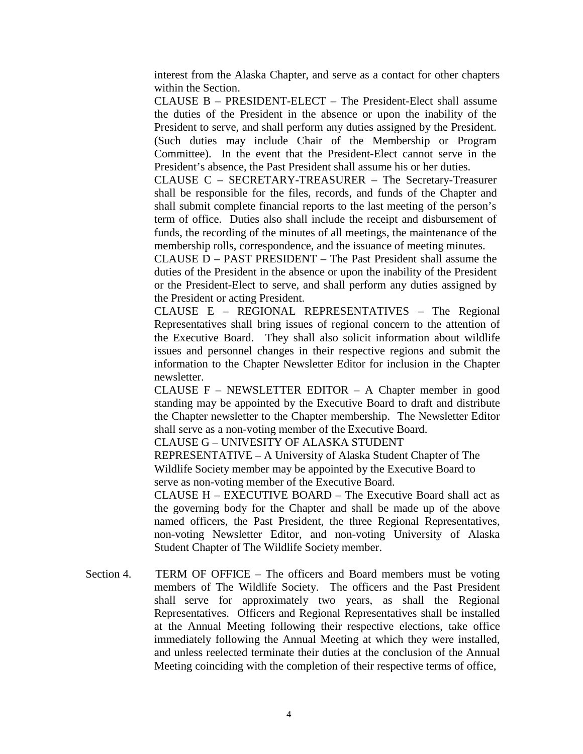interest from the Alaska Chapter, and serve as a contact for other chapters within the Section.

CLAUSE B – PRESIDENT-ELECT – The President-Elect shall assume the duties of the President in the absence or upon the inability of the President to serve, and shall perform any duties assigned by the President. (Such duties may include Chair of the Membership or Program Committee). In the event that the President-Elect cannot serve in the President's absence, the Past President shall assume his or her duties.

CLAUSE C – SECRETARY-TREASURER – The Secretary-Treasurer shall be responsible for the files, records, and funds of the Chapter and shall submit complete financial reports to the last meeting of the person's term of office. Duties also shall include the receipt and disbursement of funds, the recording of the minutes of all meetings, the maintenance of the membership rolls, correspondence, and the issuance of meeting minutes.

CLAUSE D – PAST PRESIDENT – The Past President shall assume the duties of the President in the absence or upon the inability of the President or the President-Elect to serve, and shall perform any duties assigned by the President or acting President.

CLAUSE E – REGIONAL REPRESENTATIVES – The Regional Representatives shall bring issues of regional concern to the attention of the Executive Board. They shall also solicit information about wildlife issues and personnel changes in their respective regions and submit the information to the Chapter Newsletter Editor for inclusion in the Chapter newsletter.

CLAUSE  $F - NEWSLETTER$  EDITOR  $- A$  Chapter member in good standing may be appointed by the Executive Board to draft and distribute the Chapter newsletter to the Chapter membership. The Newsletter Editor shall serve as a non-voting member of the Executive Board.

CLAUSE G – UNIVESITY OF ALASKA STUDENT

REPRESENTATIVE – A University of Alaska Student Chapter of The Wildlife Society member may be appointed by the Executive Board to serve as non-voting member of the Executive Board.

CLAUSE H – EXECUTIVE BOARD – The Executive Board shall act as the governing body for the Chapter and shall be made up of the above named officers, the Past President, the three Regional Representatives, non-voting Newsletter Editor, and non-voting University of Alaska Student Chapter of The Wildlife Society member.

Section 4. TERM OF OFFICE – The officers and Board members must be voting members of The Wildlife Society. The officers and the Past President shall serve for approximately two years, as shall the Regional Representatives. Officers and Regional Representatives shall be installed at the Annual Meeting following their respective elections, take office immediately following the Annual Meeting at which they were installed, and unless reelected terminate their duties at the conclusion of the Annual Meeting coinciding with the completion of their respective terms of office,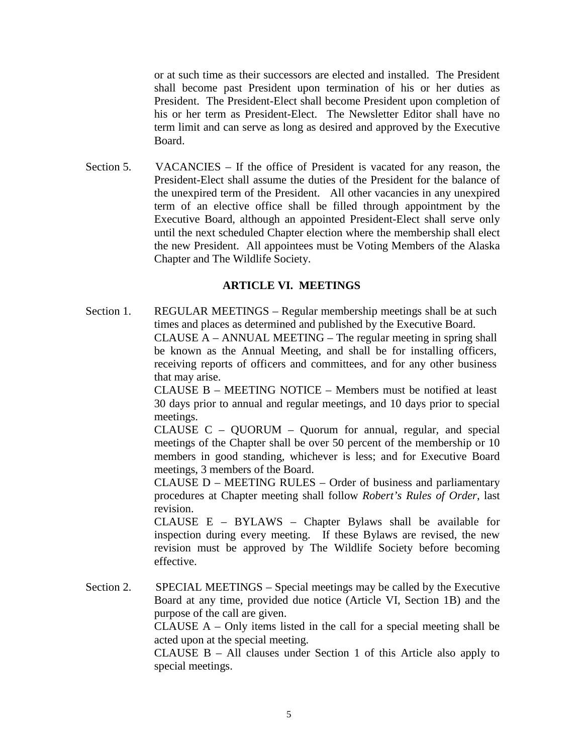or at such time as their successors are elected and installed. The President shall become past President upon termination of his or her duties as President. The President-Elect shall become President upon completion of his or her term as President-Elect. The Newsletter Editor shall have no term limit and can serve as long as desired and approved by the Executive Board.

Section 5. VACANCIES – If the office of President is vacated for any reason, the President-Elect shall assume the duties of the President for the balance of the unexpired term of the President. All other vacancies in any unexpired term of an elective office shall be filled through appointment by the Executive Board, although an appointed President-Elect shall serve only until the next scheduled Chapter election where the membership shall elect the new President. All appointees must be Voting Members of the Alaska Chapter and The Wildlife Society.

# **ARTICLE VI. MEETINGS**

Section 1. REGULAR MEETINGS – Regular membership meetings shall be at such times and places as determined and published by the Executive Board. CLAUSE A – ANNUAL MEETING – The regular meeting in spring shall be known as the Annual Meeting, and shall be for installing officers, receiving reports of officers and committees, and for any other business that may arise.

> CLAUSE B – MEETING NOTICE – Members must be notified at least 30 days prior to annual and regular meetings, and 10 days prior to special meetings.

> CLAUSE C – QUORUM – Quorum for annual, regular, and special meetings of the Chapter shall be over 50 percent of the membership or 10 members in good standing, whichever is less; and for Executive Board meetings, 3 members of the Board.

> CLAUSE D – MEETING RULES – Order of business and parliamentary procedures at Chapter meeting shall follow *Robert's Rules of Order*, last revision.

> CLAUSE E – BYLAWS – Chapter Bylaws shall be available for inspection during every meeting. If these Bylaws are revised, the new revision must be approved by The Wildlife Society before becoming effective.

Section 2. SPECIAL MEETINGS – Special meetings may be called by the Executive Board at any time, provided due notice (Article VI, Section 1B) and the purpose of the call are given.

> CLAUSE  $A - Only$  items listed in the call for a special meeting shall be acted upon at the special meeting.

> CLAUSE B – All clauses under Section 1 of this Article also apply to special meetings.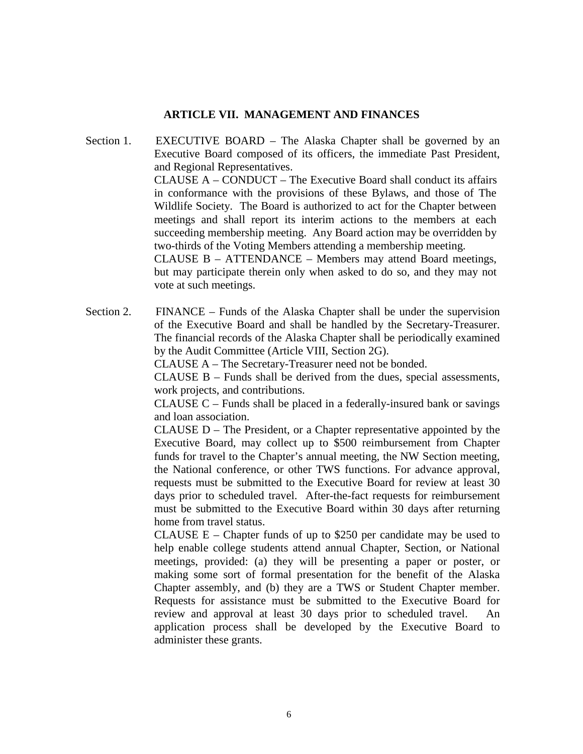## **ARTICLE VII. MANAGEMENT AND FINANCES**

Section 1. EXECUTIVE BOARD – The Alaska Chapter shall be governed by an Executive Board composed of its officers, the immediate Past President, and Regional Representatives. CLAUSE A – CONDUCT – The Executive Board shall conduct its affairs in conformance with the provisions of these Bylaws, and those of The Wildlife Society. The Board is authorized to act for the Chapter between meetings and shall report its interim actions to the members at each succeeding membership meeting. Any Board action may be overridden by two-thirds of the Voting Members attending a membership meeting. CLAUSE B – ATTENDANCE – Members may attend Board meetings, but may participate therein only when asked to do so, and they may not vote at such meetings.

Section 2. FINANCE – Funds of the Alaska Chapter shall be under the supervision of the Executive Board and shall be handled by the Secretary-Treasurer. The financial records of the Alaska Chapter shall be periodically examined by the Audit Committee (Article VIII, Section 2G).

CLAUSE A – The Secretary-Treasurer need not be bonded.

CLAUSE B – Funds shall be derived from the dues, special assessments, work projects, and contributions.

CLAUSE C – Funds shall be placed in a federally-insured bank or savings and loan association.

CLAUSE D – The President, or a Chapter representative appointed by the Executive Board, may collect up to \$500 reimbursement from Chapter funds for travel to the Chapter's annual meeting, the NW Section meeting, the National conference, or other TWS functions. For advance approval, requests must be submitted to the Executive Board for review at least 30 days prior to scheduled travel. After-the-fact requests for reimbursement must be submitted to the Executive Board within 30 days after returning home from travel status.

CLAUSE  $E -$ Chapter funds of up to \$250 per candidate may be used to help enable college students attend annual Chapter, Section, or National meetings, provided: (a) they will be presenting a paper or poster, or making some sort of formal presentation for the benefit of the Alaska Chapter assembly, and (b) they are a TWS or Student Chapter member. Requests for assistance must be submitted to the Executive Board for review and approval at least 30 days prior to scheduled travel. An application process shall be developed by the Executive Board to administer these grants.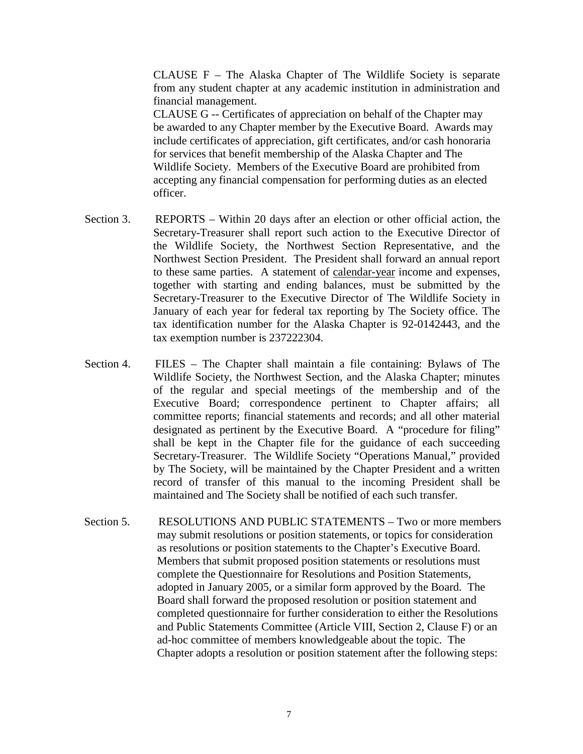CLAUSE F – The Alaska Chapter of The Wildlife Society is separate from any student chapter at any academic institution in administration and financial management.

CLAUSE G -- Certificates of appreciation on behalf of the Chapter may be awarded to any Chapter member by the Executive Board. Awards may include certificates of appreciation, gift certificates, and/or cash honoraria for services that benefit membership of the Alaska Chapter and The Wildlife Society. Members of the Executive Board are prohibited from accepting any financial compensation for performing duties as an elected officer.

- Section 3. REPORTS Within 20 days after an election or other official action, the Secretary-Treasurer shall report such action to the Executive Director of the Wildlife Society, the Northwest Section Representative, and the Northwest Section President. The President shall forward an annual report to these same parties. A statement of calendar-year income and expenses, together with starting and ending balances, must be submitted by the Secretary-Treasurer to the Executive Director of The Wildlife Society in January of each year for federal tax reporting by The Society office. The tax identification number for the Alaska Chapter is 92-0142443, and the tax exemption number is 237222304.
- Section 4. FILES The Chapter shall maintain a file containing: Bylaws of The Wildlife Society, the Northwest Section, and the Alaska Chapter; minutes of the regular and special meetings of the membership and of the Executive Board; correspondence pertinent to Chapter affairs; all committee reports; financial statements and records; and all other material designated as pertinent by the Executive Board. A "procedure for filing" shall be kept in the Chapter file for the guidance of each succeeding Secretary-Treasurer. The Wildlife Society "Operations Manual," provided by The Society, will be maintained by the Chapter President and a written record of transfer of this manual to the incoming President shall be maintained and The Society shall be notified of each such transfer.
- Section 5. RESOLUTIONS AND PUBLIC STATEMENTS Two or more members may submit resolutions or position statements, or topics for consideration as resolutions or position statements to the Chapter's Executive Board. Members that submit proposed position statements or resolutions must complete the Questionnaire for Resolutions and Position Statements, adopted in January 2005, or a similar form approved by the Board. The Board shall forward the proposed resolution or position statement and completed questionnaire for further consideration to either the Resolutions and Public Statements Committee (Article VIII, Section 2, Clause F) or an ad-hoc committee of members knowledgeable about the topic. The Chapter adopts a resolution or position statement after the following steps: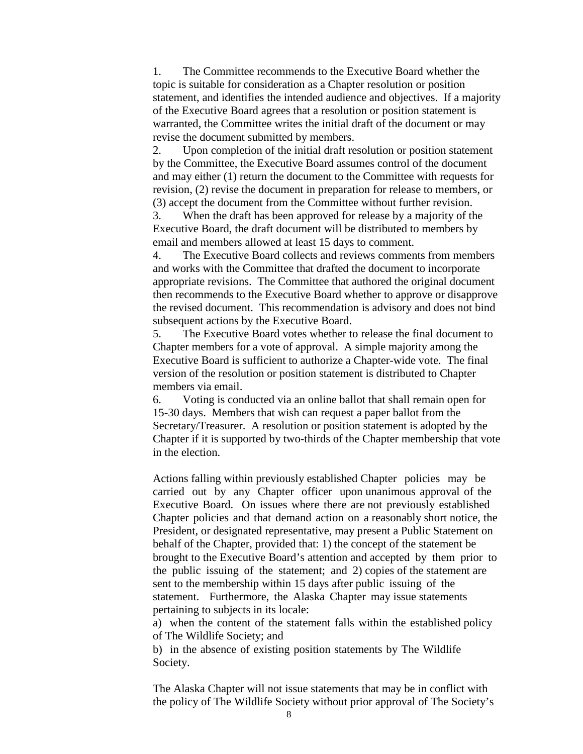1. The Committee recommends to the Executive Board whether the topic is suitable for consideration as a Chapter resolution or position statement, and identifies the intended audience and objectives. If a majority of the Executive Board agrees that a resolution or position statement is warranted, the Committee writes the initial draft of the document or may revise the document submitted by members.

2. Upon completion of the initial draft resolution or position statement by the Committee, the Executive Board assumes control of the document and may either (1) return the document to the Committee with requests for revision, (2) revise the document in preparation for release to members, or (3) accept the document from the Committee without further revision.

3. When the draft has been approved for release by a majority of the Executive Board, the draft document will be distributed to members by email and members allowed at least 15 days to comment.

4. The Executive Board collects and reviews comments from members and works with the Committee that drafted the document to incorporate appropriate revisions. The Committee that authored the original document then recommends to the Executive Board whether to approve or disapprove the revised document. This recommendation is advisory and does not bind subsequent actions by the Executive Board.

5. The Executive Board votes whether to release the final document to Chapter members for a vote of approval. A simple majority among the Executive Board is sufficient to authorize a Chapter-wide vote. The final version of the resolution or position statement is distributed to Chapter members via email.

6. Voting is conducted via an online ballot that shall remain open for 15-30 days. Members that wish can request a paper ballot from the Secretary/Treasurer. A resolution or position statement is adopted by the Chapter if it is supported by two-thirds of the Chapter membership that vote in the election.

Actions falling within previously established Chapter policies may be carried out by any Chapter officer upon unanimous approval of the Executive Board. On issues where there are not previously established Chapter policies and that demand action on a reasonably short notice, the President, or designated representative, may present a Public Statement on behalf of the Chapter, provided that: 1) the concept of the statement be brought to the Executive Board's attention and accepted by them prior to the public issuing of the statement; and 2) copies of the statement are sent to the membership within 15 days after public issuing of the statement. Furthermore, the Alaska Chapter may issue statements pertaining to subjects in its locale:

a) when the content of the statement falls within the established policy of The Wildlife Society; and

b) in the absence of existing position statements by The Wildlife Society.

The Alaska Chapter will not issue statements that may be in conflict with the policy of The Wildlife Society without prior approval of The Society's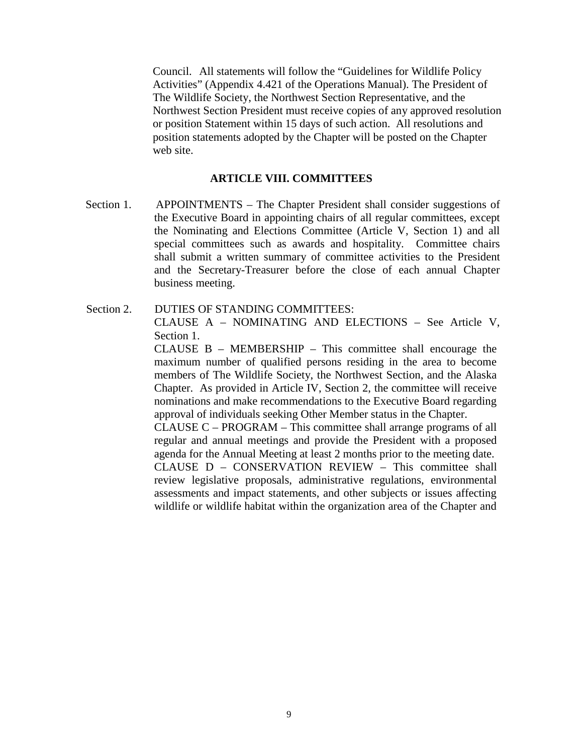Council. All statements will follow the "Guidelines for Wildlife Policy Activities" (Appendix 4.421 of the Operations Manual). The President of The Wildlife Society, the Northwest Section Representative, and the Northwest Section President must receive copies of any approved resolution or position Statement within 15 days of such action. All resolutions and position statements adopted by the Chapter will be posted on the Chapter web site.

#### **ARTICLE VIII. COMMITTEES**

- Section 1. APPOINTMENTS The Chapter President shall consider suggestions of the Executive Board in appointing chairs of all regular committees, except the Nominating and Elections Committee (Article V, Section 1) and all special committees such as awards and hospitality. Committee chairs shall submit a written summary of committee activities to the President and the Secretary-Treasurer before the close of each annual Chapter business meeting.
- Section 2. DUTIES OF STANDING COMMITTEES: CLAUSE A – NOMINATING AND ELECTIONS – See Article V, Section 1.

CLAUSE B – MEMBERSHIP – This committee shall encourage the maximum number of qualified persons residing in the area to become members of The Wildlife Society, the Northwest Section, and the Alaska Chapter. As provided in Article IV, Section 2, the committee will receive nominations and make recommendations to the Executive Board regarding approval of individuals seeking Other Member status in the Chapter.

CLAUSE C – PROGRAM – This committee shall arrange programs of all regular and annual meetings and provide the President with a proposed agenda for the Annual Meeting at least 2 months prior to the meeting date. CLAUSE D – CONSERVATION REVIEW – This committee shall review legislative proposals, administrative regulations, environmental assessments and impact statements, and other subjects or issues affecting wildlife or wildlife habitat within the organization area of the Chapter and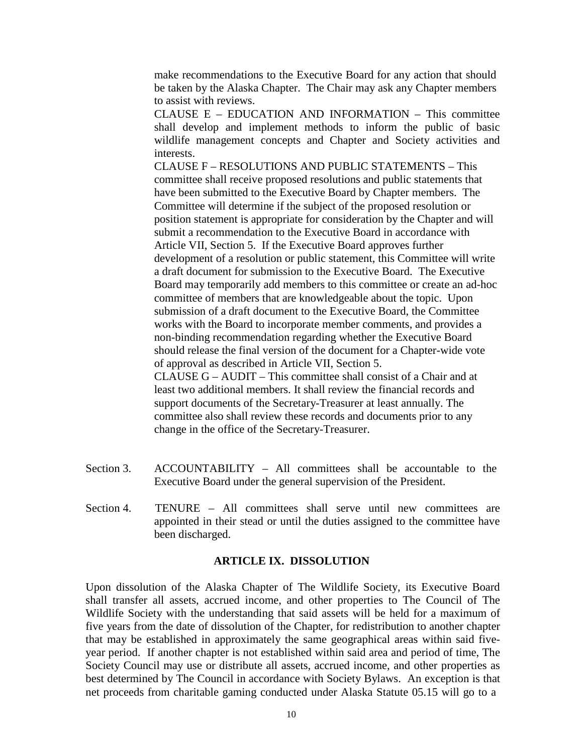make recommendations to the Executive Board for any action that should be taken by the Alaska Chapter. The Chair may ask any Chapter members to assist with reviews.

CLAUSE E – EDUCATION AND INFORMATION – This committee shall develop and implement methods to inform the public of basic wildlife management concepts and Chapter and Society activities and interests.

CLAUSE F – RESOLUTIONS AND PUBLIC STATEMENTS – This committee shall receive proposed resolutions and public statements that have been submitted to the Executive Board by Chapter members. The Committee will determine if the subject of the proposed resolution or position statement is appropriate for consideration by the Chapter and will submit a recommendation to the Executive Board in accordance with Article VII, Section 5. If the Executive Board approves further development of a resolution or public statement, this Committee will write a draft document for submission to the Executive Board. The Executive Board may temporarily add members to this committee or create an ad-hoc committee of members that are knowledgeable about the topic. Upon submission of a draft document to the Executive Board, the Committee works with the Board to incorporate member comments, and provides a non-binding recommendation regarding whether the Executive Board should release the final version of the document for a Chapter-wide vote of approval as described in Article VII, Section 5. CLAUSE G – AUDIT – This committee shall consist of a Chair and at least two additional members. It shall review the financial records and

support documents of the Secretary-Treasurer at least annually. The committee also shall review these records and documents prior to any change in the office of the Secretary-Treasurer.

- Section 3. ACCOUNTABILITY All committees shall be accountable to the Executive Board under the general supervision of the President.
- Section 4. TENURE All committees shall serve until new committees are appointed in their stead or until the duties assigned to the committee have been discharged.

### **ARTICLE IX. DISSOLUTION**

Upon dissolution of the Alaska Chapter of The Wildlife Society, its Executive Board shall transfer all assets, accrued income, and other properties to The Council of The Wildlife Society with the understanding that said assets will be held for a maximum of five years from the date of dissolution of the Chapter, for redistribution to another chapter that may be established in approximately the same geographical areas within said fiveyear period. If another chapter is not established within said area and period of time, The Society Council may use or distribute all assets, accrued income, and other properties as best determined by The Council in accordance with Society Bylaws. An exception is that net proceeds from charitable gaming conducted under Alaska Statute 05.15 will go to a